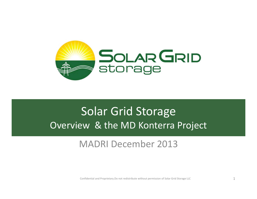

# Solar Grid Storage Overview & the MD Konterra Project

### MADRI December 2013

Confidential and Proprietary.Do not redistribute without permission of Solar Grid Storage LLC  $\qquad \qquad \qquad 1$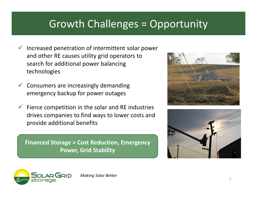## Growth Challenges <sup>=</sup> Opportunity

- $\checkmark$  Increased penetration of intermittent solar power and other RE causes utility grid operators to search for additional power balancing technologies
- $\checkmark$  Consumers are increasingly demanding emergency backup for power outages
- $\checkmark$  Fierce competition in the solar and RE industries drives companies to find ways to lower costs and provide additional benefits

**Financed Storage <sup>=</sup> Cost Reduction, Emergency Power, Grid Stability**







*Making Solar Better*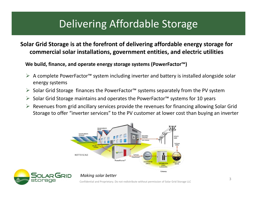# Delivering Affordable Storage

#### **Solar Grid Storage is at the forefront of delivering affordable energy storage for commercial solar installations, government entities, and electric utilities**

**We build, finance, and operate energy storage systems (PowerFactor™)**

- A complete PowerFactor™ system including inverter and battery is installed alongside solar energy systems
- Solar Grid Storage finances the PowerFactor™ systems separately from the PV system
- Solar Grid Storage maintains and operates the PowerFactor™ systems for 10 years
- $\triangleright$  Revenues from grid ancillary services provide the revenues for financing allowing Solar Grid Storage to offer "inverter services" to the PV customer at lower cost than buying an inverter



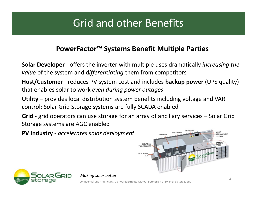# Grid and other Benefits

#### **PowerFactor™ Systems Benefit Multiple Parties**

**Solar Developer** ‐ offers the inverter with multiple uses dramatically *increasing the value* of the system and d*ifferentiating* them from competitors

**Host/Customer** ‐ reduces PV system cost and includes **backup power** (UPS quality) that enables solar to work *even during power outages*

**Utility –** provides local distribution system benefits including voltage and VAR control; Solar Grid Storage systems are fully SCADA enabled

**Grid** ‐ grid operators can use storage for an array of ancillary services – Solar Grid Storage systems are AGC enabled

**PV Industry** ‐ *accelerates solar deployment*





*Making solar better*

Confidential and Proprietary. Do not redistribute without permission of Solar Grid Storage LLC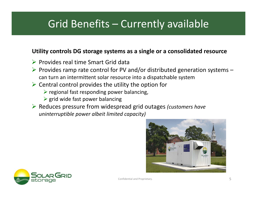# Grid Benefits – Currently available

#### **Utility controls DG storage systems as <sup>a</sup> single or <sup>a</sup> consolidated resource**

- $\triangleright$  Provides real time Smart Grid data
- $\triangleright$  Provides ramp rate control for PV and/or distributed generation systems can turn an intermittent solar resource into <sup>a</sup> dispatchable system
- $\triangleright$  Central control provides the utility the option for
	- $\triangleright$  regional fast responding power balancing,
	- $\triangleright$  grid wide fast power balancing
- Reduces pressure from widespread grid outages *(customers have uninterruptible power albeit limited capacity)*



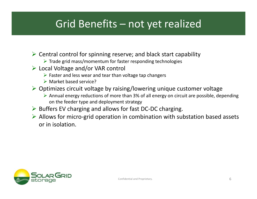## Grid Benefits – not yet realized

- $\triangleright$  Central control for spinning reserve; and black start capability
	- $\triangleright$  Trade grid mass/momentum for faster responding technologies
- Local Voltage and/or VAR control
	- $\triangleright$  Faster and less wear and tear than voltage tap changers
	- **► Market based service?**
- $\triangleright$  Optimizes circuit voltage by raising/lowering unique customer voltage
	- Annual energy reductions of more than 3% of all energy on circuit are possible, depending on the feeder type and deployment strategy
- ▶ Buffers EV charging and allows for fast DC-DC charging.
- Allows for micro‐grid operation in combination with substation based assets or in isolation.

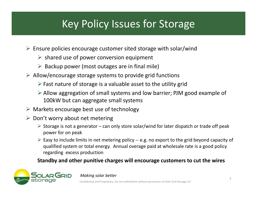# Key Policy Issues for Storage

- $\triangleright$  Ensure policies encourage customer sited storage with solar/wind
	- $\triangleright$  shared use of power conversion equipment
	- $\triangleright$  Backup power (most outages are in final mile)
- $\triangleright$  Allow/encourage storage systems to provide grid functions
	- $\triangleright$  Fast nature of storage is a valuable asset to the utility grid
	- Allow aggregation of small systems and low barrier; PJM good example of 100kW but can aggregate small systems
- $\triangleright$  Markets encourage best use of technology
- $\triangleright$  Don't worry about net metering
	- $\triangleright$  Storage is not a generator can only store solar/wind for later dispatch or trade off peak power for on peak
	- Easy to include limits in net metering policy ‐‐ e.g. no export to the grid beyond capacity of qualified system or total energy. Annual overage paid at wholesale rate is <sup>a</sup> good policy regarding excess production

#### **Standby and other punitive charges will encourage customers to cut the wires**

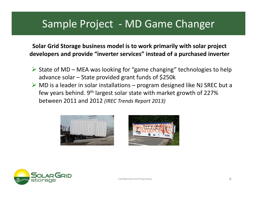### Sample Project ‐ MD Game Changer

**Solar Grid Storage business model is to work primarily with solar project developers and provide "inverter services" instead of <sup>a</sup> purchased inverter**

- $\triangleright$  State of MD MEA was looking for "game changing" technologies to help advance solar – State provided grant funds of \$250k
- $\triangleright$  MD is a leader in solar installations program designed like NJ SREC but a few years behind. 9<sup>th</sup> largest solar state with market growth of 227% between 2011 and 2012 *(IREC Trends Report 2013)*





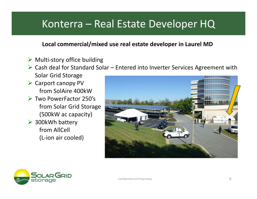### Konterra – Real Estate Developer HQ

#### **Local commercial/mixed use real estate developer in Laurel MD**

- $\triangleright$  Multi-story office building
- $\triangleright$  Cash deal for Standard Solar Entered into Inverter Services Agreement with Solar Grid Storage
- $\triangleright$  Carport canopy PV from SolAire 400kW
- Two PowerFactor 250's from Solar Grid Storage (500kW ac capacity)
- ▶ 300kWh battery from AllCell (L‐ion air cooled)





Confidential and Proprietary. 9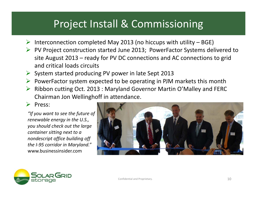# Project Install & Commissioning

- $\triangleright$  Interconnection completed May 2013 (no hiccups with utility BGE)
- ▶ PV Project construction started June 2013; PowerFactor Systems delivered to site August 2013 – ready for PV DC connections and AC connections to grid and critical loads circuits
- $\triangleright$  System started producing PV power in late Sept 2013
- $\triangleright$  PowerFactor system expected to be operating in PJM markets this month
- ▶ Ribbon cutting Oct. 2013 : Maryland Governor Martin O'Malley and FERC Chairman Jon Wellinghoff in attendance.

#### $\triangleright$  Press:

*"If you want to see the future of renewable energy in the U.S., you should check out the large container sitting next to <sup>a</sup> nondescript office building off the I‐95 corridor in Maryland."* www.businessinsider.com





Confidential and Proprietary.  $\dots$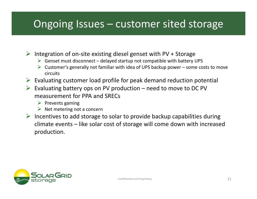## Ongoing Issues – customer sited storage

 $\triangleright$  Integration of on-site existing diesel genset with PV + Storage

- $\triangleright$  Genset must disconnect delayed startup not compatible with battery UPS
- $\triangleright$  Customer's generally not familiar with idea of UPS backup power some costs to move circuits
- $\triangleright$  Evaluating customer load profile for peak demand reduction potential
- $\triangleright$  Evaluating battery ops on PV production need to move to DC PV measurement for PPA and SRECs
	- $\triangleright$  Prevents gaming
	- $\triangleright$  Net metering not a concern
- $\triangleright$  Incentives to add storage to solar to provide backup capabilities during climate events – like solar cost of storage will come down with increased production.